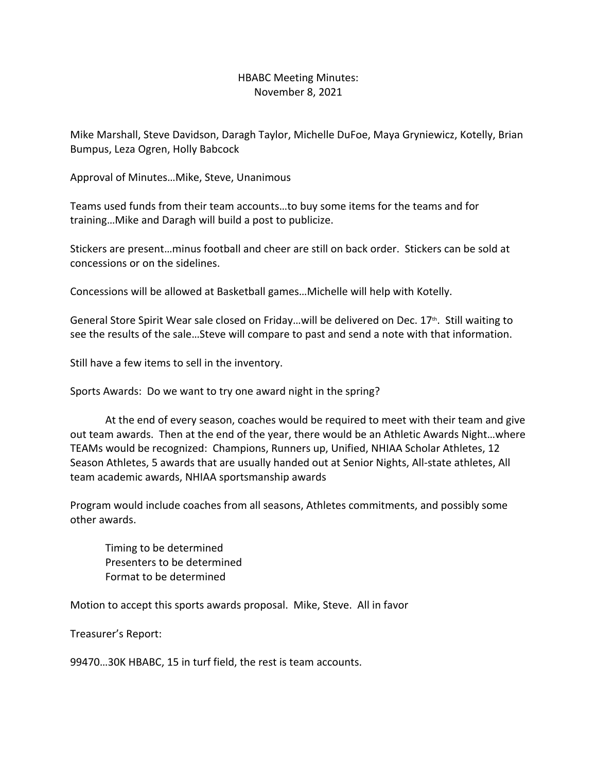## HBABC Meeting Minutes: November 8, 2021

Mike Marshall, Steve Davidson, Daragh Taylor, Michelle DuFoe, Maya Gryniewicz, Kotelly, Brian Bumpus, Leza Ogren, Holly Babcock

Approval of Minutes…Mike, Steve, Unanimous

Teams used funds from their team accounts…to buy some items for the teams and for training…Mike and Daragh will build a post to publicize.

Stickers are present…minus football and cheer are still on back order. Stickers can be sold at concessions or on the sidelines.

Concessions will be allowed at Basketball games…Michelle will help with Kotelly.

General Store Spirit Wear sale closed on Friday...will be delivered on Dec. 17<sup>th</sup>. Still waiting to see the results of the sale…Steve will compare to past and send a note with that information.

Still have a few items to sell in the inventory.

Sports Awards: Do we want to try one award night in the spring?

At the end of every season, coaches would be required to meet with their team and give out team awards. Then at the end of the year, there would be an Athletic Awards Night…where TEAMs would be recognized: Champions, Runners up, Unified, NHIAA Scholar Athletes, 12 Season Athletes, 5 awards that are usually handed out at Senior Nights, All-state athletes, All team academic awards, NHIAA sportsmanship awards

Program would include coaches from all seasons, Athletes commitments, and possibly some other awards.

Timing to be determined Presenters to be determined Format to be determined

Motion to accept this sports awards proposal. Mike, Steve. All in favor

Treasurer's Report:

99470…30K HBABC, 15 in turf field, the rest is team accounts.